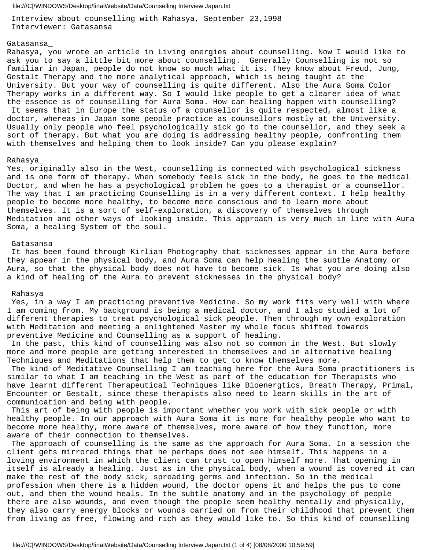Interview about counselling with Rahasya, September 23,1998 Interviewer: Gatasansa

# Gatasansa\_

Rahasya, you wrote an article in Living energies about counselling. Now I would like to ask you to say a little bit more about counselling. Generally Counselling is not so familiar in Japan, people do not know so much what it is. They know about Freud, Jung, Gestalt Therapy and the more analytical approach, which is being taught at the University. But your way of counselling is quite different. Also the Aura Soma Color Therapy works in a different way. So I would like people to get a clearer idea of what the essence is of counselling for Aura Soma. How can healing happen with counselling? It seems that in Europe the status of a counsellor is quite respected, almost like a doctor, whereas in Japan some people practice as counsellors mostly at the University. Usually only people who feel psychologically sick go to the counsellor, and they seek a sort of therapy. But what you are doing is addressing healthy people, confronting them with themselves and helping them to look inside? Can you please explain?

## Rahasya\_

Yes, originally also in the West, counselling is connected with psychological sickness and is one form of therapy. When somebody feels sick in the body, he goes to the medical Doctor, and when he has a psychological problem he goes to a therapist or a counsellor. The way that I am practicing Counselling is in a very different context. I help healthy people to become more healthy, to become more conscious and to learn more about themselves. It is a sort of self-exploration, a discovery of themselves through Meditation and other ways of looking inside. This approach is very much in line with Aura Soma, a healing System of the soul.

# Gatasansa

 It has been found through Kirlian Photography that sicknesses appear in the Aura before they appear in the physical body, and Aura Soma can help healing the subtle Anatomy or Aura, so that the physical body does not have to become sick. Is what you are doing also a kind of healing of the Aura to prevent sicknesses in the physical body?

# Rahasya

 Yes, in a way I am practicing preventive Medicine. So my work fits very well with where I am coming from. My background is being a medical doctor, and I also studied a lot of different therapies to treat psychological sick people. Then through my own exploration with Meditation and meeting a enlightened Master my whole focus shifted towards preventive Medicine and Counselling as a support of healing.

 In the past, this kind of counselling was also not so common in the West. But slowly more and more people are getting interested in themselves and in alternative healing Techniques and Meditations that help them to get to know themselves more.

 The kind of Meditative Counselling I am teaching here for the Aura Soma practitioners is similar to what I am teaching in the West as part of the education for Therapists who have learnt different Therapeutical Techniques like Bioenergtics, Breath Therapy, Primal, Encounter or Gestalt, since these therapists also need to learn skills in the art of communication and being with people.

 This art of being with people is important whether you work with sick people or with healthy people. In our approach with Aura Soma it is more for healthy people who want to become more healthy, more aware of themselves, more aware of how they function, more aware of their connection to themselves.

 The approach of counselling is the same as the approach for Aura Soma. In a session the client gets mirrored things that he perhaps does not see himself. This happens in a loving environment in which the client can trust to open himself more. That opening in itself is already a healing. Just as in the physical body, when a wound is covered it can make the rest of the body sick, spreading germs and infection. So in the medical profession when there is a hidden wound, the doctor opens it and helps the pus to come out, and then the wound heals. In the subtle anatomy and in the psychology of people there are also wounds, and even though the people seem healthy mentally and physically, they also carry energy blocks or wounds carried on from their childhood that prevent them from living as free, flowing and rich as they would like to. So this kind of counselling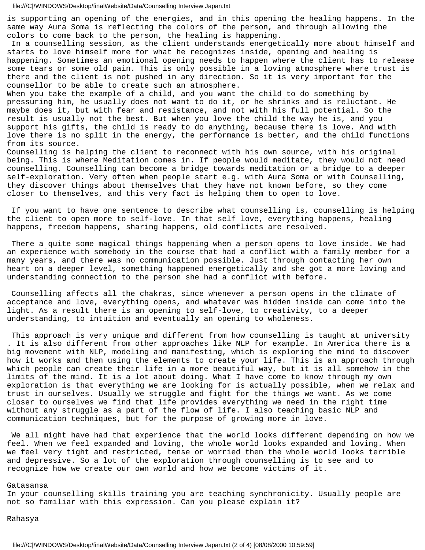is supporting an opening of the energies, and in this opening the healing happens. In the same way Aura Soma is reflecting the colors of the person, and through allowing the colors to come back to the person, the healing is happening.

 In a counselling session, as the client understands energetically more about himself and starts to love himself more for what he recognizes inside, opening and healing is happening. Sometimes an emotional opening needs to happen where the client has to release some tears or some old pain. This is only possible in a loving atmosphere where trust is there and the client is not pushed in any direction. So it is very important for the counsellor to be able to create such an atmosphere.

When you take the example of a child, and you want the child to do something by pressuring him, he usually does not want to do it, or he shrinks and is reluctant. He maybe does it, but with fear and resistance, and not with his full potential. So the result is usually not the best. But when you love the child the way he is, and you support his gifts, the child is ready to do anything, because there is love. And with love there is no split in the energy, the performance is better, and the child functions from its source.

Counselling is helping the client to reconnect with his own source, with his original being. This is where Meditation comes in. If people would meditate, they would not need counselling. Counselling can become a bridge towards meditation or a bridge to a deeper self-exploration. Very often when people start e.g. with Aura Soma or with Counselling, they discover things about themselves that they have not known before, so they come closer to themselves, and this very fact is helping them to open to love.

 If you want to have one sentence to describe what counselling is, counselling is helping the client to open more to self-love. In that self love, everything happens, healing happens, freedom happens, sharing happens, old conflicts are resolved.

 There a quite some magical things happening when a person opens to love inside. We had an experience with somebody in the course that had a conflict with a family member for a many years, and there was no communication possible. Just through contacting her own heart on a deeper level, something happened energetically and she got a more loving and understanding connection to the person she had a conflict with before.

 Counselling affects all the chakras, since whenever a person opens in the climate of acceptance and love, everything opens, and whatever was hidden inside can come into the light. As a result there is an opening to self-love, to creativity, to a deeper understanding, to intuition and eventually an opening to wholeness.

 This approach is very unique and different from how counselling is taught at university . It is also different from other approaches like NLP for example. In America there is a big movement with NLP, modeling and manifesting, which is exploring the mind to discover how it works and then using the elements to create your life. This is an approach through which people can create their life in a more beautiful way, but it is all somehow in the limits of the mind. It is a lot about doing. What I have come to know through my own exploration is that everything we are looking for is actually possible, when we relax and trust in ourselves. Usually we struggle and fight for the things we want. As we come closer to ourselves we find that life provides everything we need in the right time without any struggle as a part of the flow of life. I also teaching basic NLP and communication techniques, but for the purpose of growing more in love.

 We all might have had that experience that the world looks different depending on how we feel. When we feel expanded and loving, the whole world looks expanded and loving. When we feel very tight and restricted, tense or worried then the whole world looks terrible and depressive. So a lot of the exploration through counselling is to see and to recognize how we create our own world and how we become victims of it.

### Gatasansa

In your counselling skills training you are teaching synchronicity. Usually people are not so familiar with this expression. Can you please explain it?

Rahasya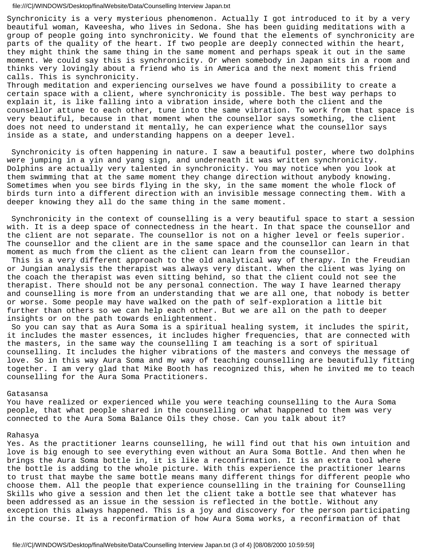Synchronicity is a very mysterious phenomenon. Actually I got introduced to it by a very beautiful woman, Kaveesha, who lives in Sedona. She has been guiding meditations with a group of people going into synchronicity. We found that the elements of synchronicity are parts of the quality of the heart. If two people are deeply connected within the heart, they might think the same thing in the same moment and perhaps speak it out in the same moment. We could say this is synchronicity. Or when somebody in Japan sits in a room and thinks very lovingly about a friend who is in America and the next moment this friend calls. This is synchronicity.

Through meditation and experiencing ourselves we have found a possibility to create a certain space with a client, where synchronicity is possible. The best way perhaps to explain it, is like falling into a vibration inside, where both the client and the counsellor attune to each other, tune into the same vibration. To work from that space is very beautiful, because in that moment when the counsellor says something, the client does not need to understand it mentally, he can experience what the counsellor says inside as a state, and understanding happens on a deeper level.

 Synchronicity is often happening in nature. I saw a beautiful poster, where two dolphins were jumping in a yin and yang sign, and underneath it was written synchronicity. Dolphins are actually very talented in synchronicity. You may notice when you look at them swimming that at the same moment they change direction without anybody knowing. Sometimes when you see birds flying in the sky, in the same moment the whole flock of birds turn into a different direction with an invisible message connecting them. With a deeper knowing they all do the same thing in the same moment.

 Synchronicity in the context of counselling is a very beautiful space to start a session with. It is a deep space of connectedness in the heart. In that space the counsellor and the client are not separate. The counsellor is not on a higher level or feels superior. The counsellor and the client are in the same space and the counsellor can learn in that moment as much from the client as the client can learn from the counsellor.

 This is a very different approach to the old analytical way of therapy. In the Freudian or Jungian analysis the therapist was always very distant. When the client was lying on the coach the therapist was even sitting behind, so that the client could not see the therapist. There should not be any personal connection. The way I have learned therapy and counselling is more from an understanding that we are all one, that nobody is better or worse. Some people may have walked on the path of self-exploration a little bit further than others so we can help each other. But we are all on the path to deeper insights or on the path towards enlightenment.

 So you can say that as Aura Soma is a spiritual healing system, it includes the spirit, it includes the master essences, it includes higher frequencies, that are connected with the masters, in the same way the counselling I am teaching is a sort of spiritual counselling. It includes the higher vibrations of the masters and conveys the message of love. So in this way Aura Soma and my way of teaching counselling are beautifully fitting together. I am very glad that Mike Booth has recognized this, when he invited me to teach counselling for the Aura Soma Practitioners.

### Gatasansa

You have realized or experienced while you were teaching counselling to the Aura Soma people, that what people shared in the counselling or what happened to them was very connected to the Aura Soma Balance Oils they chose. Can you talk about it?

### Rahasya

Yes. As the practitioner learns counselling, he will find out that his own intuition and love is big enough to see everything even without an Aura Soma Bottle. And then when he brings the Aura Soma bottle in, it is like a reconfirmation. It is an extra tool where the bottle is adding to the whole picture. With this experience the practitioner learns to trust that maybe the same bottle means many different things for different people who choose them. All the people that experience counselling in the training for Counselling Skills who give a session and then let the client take a bottle see that whatever has been addressed as an issue in the session is reflected in the bottle. Without any exception this always happened. This is a joy and discovery for the person participating in the course. It is a reconfirmation of how Aura Soma works, a reconfirmation of that